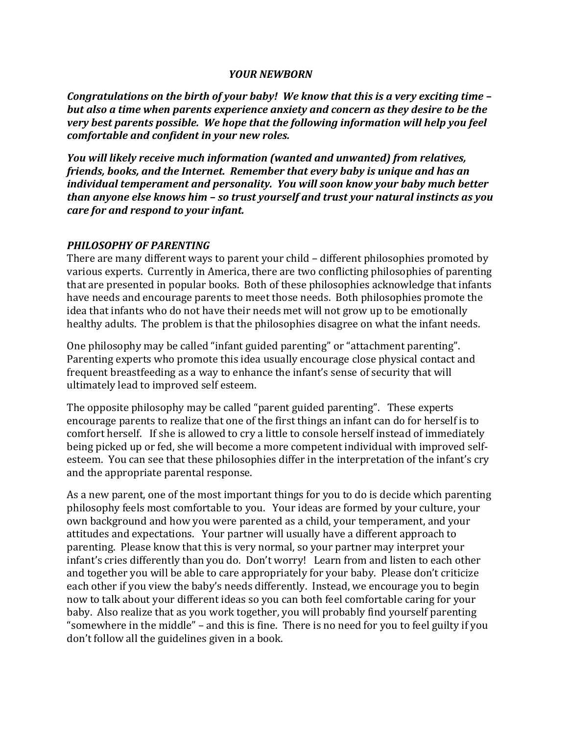#### *YOUR NEWBORN*

*Congratulations on the birth of your baby! We know that this is a very exciting time but also a time when parents experience anxiety and concern as they desire to be the very* best parents possible. We hope that the following information will help you feel *comfortable and confident in your new roles.* 

*You will likely receive much information (wanted and unwanted) from relatives, friends, books, and the Internet. Remember that every baby is unique and has an individual temperament and personality. You will soon know your baby much better than anyone else knows him - so trust yourself and trust your natural instincts as you care for and respond to your infant.* 

#### **PHILOSOPHY OF PARENTING**

There are many different ways to parent your child – different philosophies promoted by various experts. Currently in America, there are two conflicting philosophies of parenting that are presented in popular books. Both of these philosophies acknowledge that infants have needs and encourage parents to meet those needs. Both philosophies promote the idea that infants who do not have their needs met will not grow up to be emotionally healthy adults. The problem is that the philosophies disagree on what the infant needs.

One philosophy may be called "infant guided parenting" or "attachment parenting". Parenting experts who promote this idea usually encourage close physical contact and frequent breastfeeding as a way to enhance the infant's sense of security that will ultimately lead to improved self esteem.

The opposite philosophy may be called "parent guided parenting". These experts encourage parents to realize that one of the first things an infant can do for herself is to comfort herself. If she is allowed to cry a little to console herself instead of immediately being picked up or fed, she will become a more competent individual with improved selfesteem. You can see that these philosophies differ in the interpretation of the infant's cry and the appropriate parental response.

As a new parent, one of the most important things for you to do is decide which parenting philosophy feels most comfortable to you. Your ideas are formed by your culture, your own background and how you were parented as a child, your temperament, and your attitudes and expectations. Your partner will usually have a different approach to parenting. Please know that this is very normal, so your partner may interpret your infant's cries differently than you do. Don't worry! Learn from and listen to each other and together you will be able to care appropriately for your baby. Please don't criticize each other if you view the baby's needs differently. Instead, we encourage you to begin now to talk about your different ideas so you can both feel comfortable caring for your baby. Also realize that as you work together, you will probably find yourself parenting "somewhere in the middle" – and this is fine. There is no need for you to feel guilty if you don't follow all the guidelines given in a book.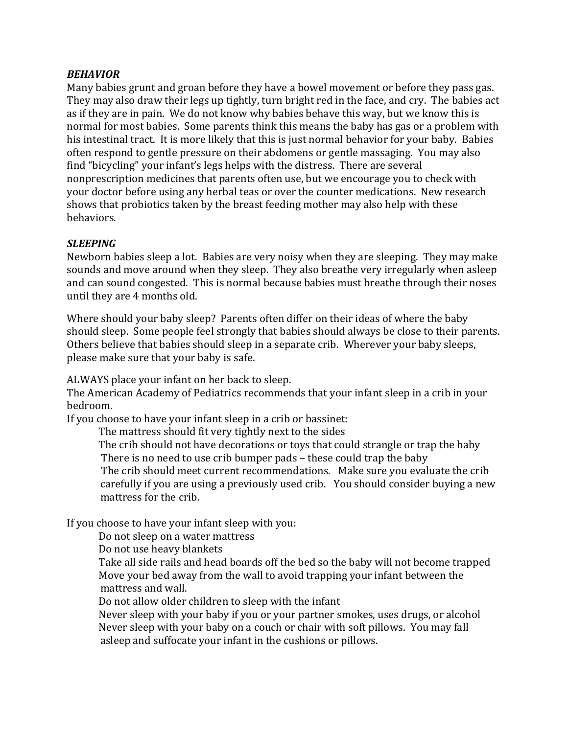## *BEHAVIOR*

Many babies grunt and groan before they have a bowel movement or before they pass gas. They may also draw their legs up tightly, turn bright red in the face, and cry. The babies act as if they are in pain. We do not know why babies behave this way, but we know this is normal for most babies. Some parents think this means the baby has gas or a problem with his intestinal tract. It is more likely that this is just normal behavior for your baby. Babies often respond to gentle pressure on their abdomens or gentle massaging. You may also find "bicycling" your infant's legs helps with the distress. There are several nonprescription medicines that parents often use, but we encourage you to check with your doctor before using any herbal teas or over the counter medications. New research shows that probiotics taken by the breast feeding mother may also help with these behaviors.

### *SLEEPING*

Newborn babies sleep a lot. Babies are very noisy when they are sleeping. They may make sounds and move around when they sleep. They also breathe very irregularly when asleep and can sound congested. This is normal because babies must breathe through their noses until they are 4 months old.

Where should your baby sleep? Parents often differ on their ideas of where the baby should sleep. Some people feel strongly that babies should always be close to their parents. Others believe that babies should sleep in a separate crib. Wherever your baby sleeps, please make sure that your baby is safe.

ALWAYS place your infant on her back to sleep.

The American Academy of Pediatrics recommends that your infant sleep in a crib in your bedroom.

If you choose to have your infant sleep in a crib or bassinet:

The mattress should fit very tightly next to the sides

The crib should not have decorations or toys that could strangle or trap the baby There is no need to use crib bumper pads – these could trap the baby

The crib should meet current recommendations. Make sure you evaluate the crib carefully if you are using a previously used crib. You should consider buying a new mattress for the crib.

If you choose to have your infant sleep with you:

Do not sleep on a water mattress

Do not use heavy blankets

Take all side rails and head boards off the bed so the baby will not become trapped Move your bed away from the wall to avoid trapping your infant between the mattress and wall.

Do not allow older children to sleep with the infant

Never sleep with your baby if you or your partner smokes, uses drugs, or alcohol Never sleep with your baby on a couch or chair with soft pillows. You may fall asleep and suffocate your infant in the cushions or pillows.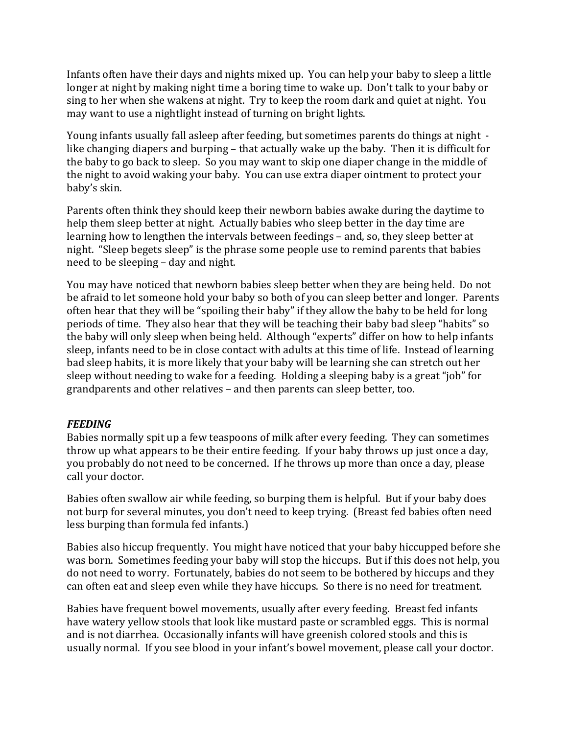Infants often have their days and nights mixed up. You can help your baby to sleep a little longer at night by making night time a boring time to wake up. Don't talk to your baby or sing to her when she wakens at night. Try to keep the room dark and quiet at night. You may want to use a nightlight instead of turning on bright lights.

Young infants usually fall asleep after feeding, but sometimes parents do things at night like changing diapers and burping – that actually wake up the baby. Then it is difficult for the baby to go back to sleep. So you may want to skip one diaper change in the middle of the night to avoid waking your baby. You can use extra diaper ointment to protect your baby's skin.

Parents often think they should keep their newborn babies awake during the daytime to help them sleep better at night. Actually babies who sleep better in the day time are learning how to lengthen the intervals between feedings – and, so, they sleep better at night. "Sleep begets sleep" is the phrase some people use to remind parents that babies need to be sleeping – day and night.

You may have noticed that newborn babies sleep better when they are being held. Do not be afraid to let someone hold your baby so both of you can sleep better and longer. Parents often hear that they will be "spoiling their baby" if they allow the baby to be held for long periods of time. They also hear that they will be teaching their baby bad sleep "habits" so the baby will only sleep when being held. Although "experts" differ on how to help infants sleep, infants need to be in close contact with adults at this time of life. Instead of learning bad sleep habits, it is more likely that your baby will be learning she can stretch out her sleep without needing to wake for a feeding. Holding a sleeping baby is a great "job" for grandparents and other relatives – and then parents can sleep better, too.

### *FEEDING*

Babies normally spit up a few teaspoons of milk after every feeding. They can sometimes throw up what appears to be their entire feeding. If your baby throws up just once a day, you probably do not need to be concerned. If he throws up more than once a day, please call vour doctor.

Babies often swallow air while feeding, so burping them is helpful. But if your baby does not burp for several minutes, you don't need to keep trying. (Breast fed babies often need less burping than formula fed infants.)

Babies also hiccup frequently. You might have noticed that your baby hiccupped before she was born. Sometimes feeding your baby will stop the hiccups. But if this does not help, you do not need to worry. Fortunately, babies do not seem to be bothered by hiccups and they can often eat and sleep even while they have hiccups. So there is no need for treatment.

Babies have frequent bowel movements, usually after every feeding. Breast fed infants have watery yellow stools that look like mustard paste or scrambled eggs. This is normal and is not diarrhea. Occasionally infants will have greenish colored stools and this is usually normal. If you see blood in your infant's bowel movement, please call your doctor.